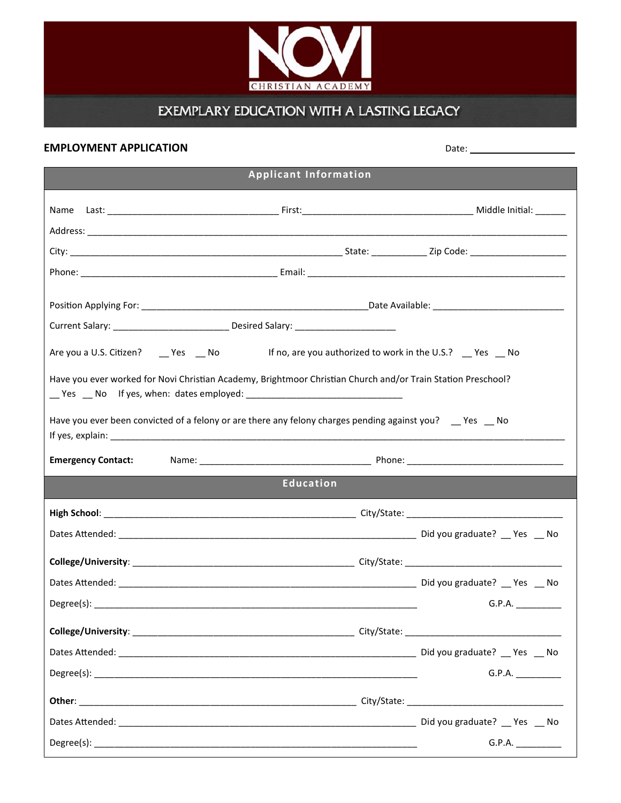

## EXEMPLARY EDUCATION WITH A LASTING LEGACY

| <b>EMPLOYMENT APPLICATION</b> |                                                                                                              |                  | Date: the contract of the contract of the contract of the contract of the contract of the contract of the contract of the contract of the contract of the contract of the contract of the contract of the contract of the cont |  |
|-------------------------------|--------------------------------------------------------------------------------------------------------------|------------------|--------------------------------------------------------------------------------------------------------------------------------------------------------------------------------------------------------------------------------|--|
| <b>Applicant Information</b>  |                                                                                                              |                  |                                                                                                                                                                                                                                |  |
|                               |                                                                                                              |                  |                                                                                                                                                                                                                                |  |
|                               |                                                                                                              |                  |                                                                                                                                                                                                                                |  |
|                               |                                                                                                              |                  |                                                                                                                                                                                                                                |  |
|                               |                                                                                                              |                  |                                                                                                                                                                                                                                |  |
|                               |                                                                                                              |                  |                                                                                                                                                                                                                                |  |
|                               |                                                                                                              |                  |                                                                                                                                                                                                                                |  |
|                               | Are you a U.S. Citizen? _____ Yes _____ No dif no, are you authorized to work in the U.S.? ____ Yes ____ No  |                  |                                                                                                                                                                                                                                |  |
|                               | Have you ever worked for Novi Christian Academy, Brightmoor Christian Church and/or Train Station Preschool? |                  |                                                                                                                                                                                                                                |  |
|                               | Have you ever been convicted of a felony or are there any felony charges pending against you? __ Yes __ No   |                  |                                                                                                                                                                                                                                |  |
| <b>Emergency Contact:</b>     |                                                                                                              |                  |                                                                                                                                                                                                                                |  |
|                               |                                                                                                              | <b>Education</b> |                                                                                                                                                                                                                                |  |
|                               |                                                                                                              |                  |                                                                                                                                                                                                                                |  |
|                               |                                                                                                              |                  |                                                                                                                                                                                                                                |  |
|                               |                                                                                                              |                  |                                                                                                                                                                                                                                |  |
|                               |                                                                                                              |                  |                                                                                                                                                                                                                                |  |
|                               |                                                                                                              |                  | G.P.A.                                                                                                                                                                                                                         |  |
|                               |                                                                                                              |                  |                                                                                                                                                                                                                                |  |
|                               |                                                                                                              |                  |                                                                                                                                                                                                                                |  |
|                               |                                                                                                              |                  | G.P.A.                                                                                                                                                                                                                         |  |
|                               |                                                                                                              |                  |                                                                                                                                                                                                                                |  |
|                               |                                                                                                              |                  |                                                                                                                                                                                                                                |  |
|                               |                                                                                                              |                  | G.P.A.                                                                                                                                                                                                                         |  |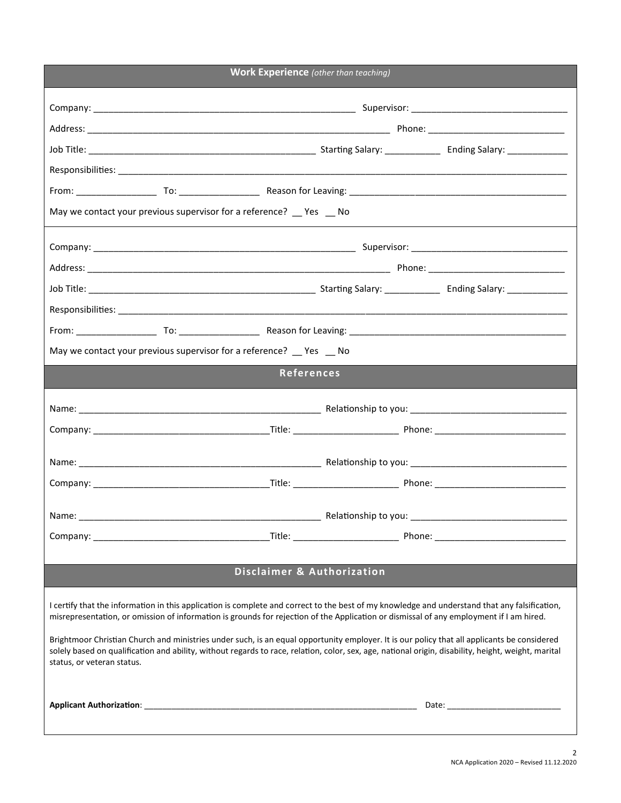| <b>Work Experience</b> (other than teaching)                                                                                                                                                                                                                                                                                                                                                                                                                                                                                                                                                                                 |  |  |  |  |
|------------------------------------------------------------------------------------------------------------------------------------------------------------------------------------------------------------------------------------------------------------------------------------------------------------------------------------------------------------------------------------------------------------------------------------------------------------------------------------------------------------------------------------------------------------------------------------------------------------------------------|--|--|--|--|
|                                                                                                                                                                                                                                                                                                                                                                                                                                                                                                                                                                                                                              |  |  |  |  |
|                                                                                                                                                                                                                                                                                                                                                                                                                                                                                                                                                                                                                              |  |  |  |  |
|                                                                                                                                                                                                                                                                                                                                                                                                                                                                                                                                                                                                                              |  |  |  |  |
|                                                                                                                                                                                                                                                                                                                                                                                                                                                                                                                                                                                                                              |  |  |  |  |
|                                                                                                                                                                                                                                                                                                                                                                                                                                                                                                                                                                                                                              |  |  |  |  |
| May we contact your previous supervisor for a reference? __ Yes _ No                                                                                                                                                                                                                                                                                                                                                                                                                                                                                                                                                         |  |  |  |  |
|                                                                                                                                                                                                                                                                                                                                                                                                                                                                                                                                                                                                                              |  |  |  |  |
|                                                                                                                                                                                                                                                                                                                                                                                                                                                                                                                                                                                                                              |  |  |  |  |
|                                                                                                                                                                                                                                                                                                                                                                                                                                                                                                                                                                                                                              |  |  |  |  |
|                                                                                                                                                                                                                                                                                                                                                                                                                                                                                                                                                                                                                              |  |  |  |  |
|                                                                                                                                                                                                                                                                                                                                                                                                                                                                                                                                                                                                                              |  |  |  |  |
| May we contact your previous supervisor for a reference? __ Yes __ No                                                                                                                                                                                                                                                                                                                                                                                                                                                                                                                                                        |  |  |  |  |
| References                                                                                                                                                                                                                                                                                                                                                                                                                                                                                                                                                                                                                   |  |  |  |  |
|                                                                                                                                                                                                                                                                                                                                                                                                                                                                                                                                                                                                                              |  |  |  |  |
|                                                                                                                                                                                                                                                                                                                                                                                                                                                                                                                                                                                                                              |  |  |  |  |
|                                                                                                                                                                                                                                                                                                                                                                                                                                                                                                                                                                                                                              |  |  |  |  |
|                                                                                                                                                                                                                                                                                                                                                                                                                                                                                                                                                                                                                              |  |  |  |  |
|                                                                                                                                                                                                                                                                                                                                                                                                                                                                                                                                                                                                                              |  |  |  |  |
| Name:                                                                                                                                                                                                                                                                                                                                                                                                                                                                                                                                                                                                                        |  |  |  |  |
|                                                                                                                                                                                                                                                                                                                                                                                                                                                                                                                                                                                                                              |  |  |  |  |
|                                                                                                                                                                                                                                                                                                                                                                                                                                                                                                                                                                                                                              |  |  |  |  |
| <b>Disclaimer &amp; Authorization</b>                                                                                                                                                                                                                                                                                                                                                                                                                                                                                                                                                                                        |  |  |  |  |
| I certify that the information in this application is complete and correct to the best of my knowledge and understand that any falsification,<br>misrepresentation, or omission of information is grounds for rejection of the Application or dismissal of any employment if I am hired.<br>Brightmoor Christian Church and ministries under such, is an equal opportunity employer. It is our policy that all applicants be considered<br>solely based on qualification and ability, without regards to race, relation, color, sex, age, national origin, disability, height, weight, marital<br>status, or veteran status. |  |  |  |  |
|                                                                                                                                                                                                                                                                                                                                                                                                                                                                                                                                                                                                                              |  |  |  |  |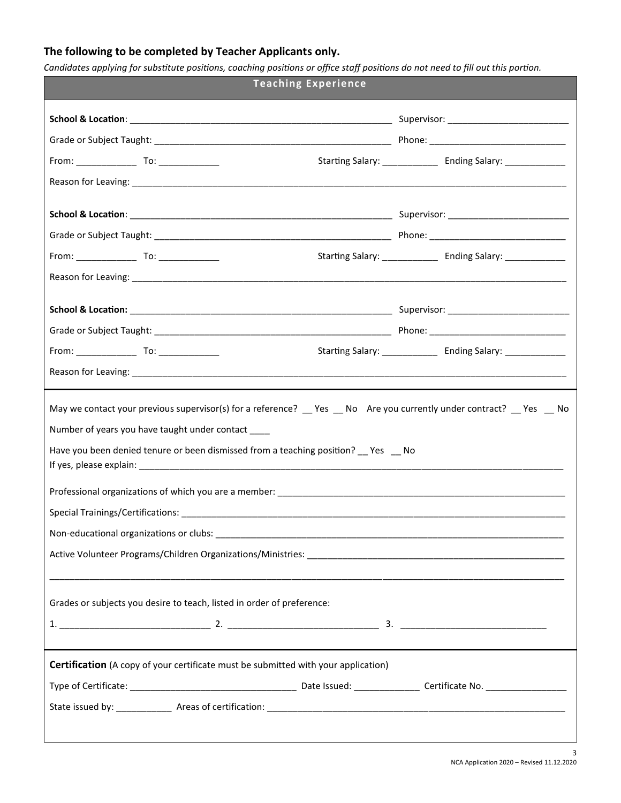## **The following to be completed by Teacher Applicants only.**

*Candidates applying for substitute positions, coaching positions or office staff positions do not need to fill out this portion.*

| <b>Teaching Experience</b>                                                                                                                                                                                                                                                                                                                                                                |  |                                                                   |  |  |
|-------------------------------------------------------------------------------------------------------------------------------------------------------------------------------------------------------------------------------------------------------------------------------------------------------------------------------------------------------------------------------------------|--|-------------------------------------------------------------------|--|--|
|                                                                                                                                                                                                                                                                                                                                                                                           |  |                                                                   |  |  |
|                                                                                                                                                                                                                                                                                                                                                                                           |  |                                                                   |  |  |
|                                                                                                                                                                                                                                                                                                                                                                                           |  | Starting Salary: ________________ Ending Salary: ______________   |  |  |
| Reason for Leaving: 1980 1990 1990 1990 1991 1992 1993 1994 1994 1995 1996 1997 1998 1999 1999 1999 1999 1999 1                                                                                                                                                                                                                                                                           |  |                                                                   |  |  |
|                                                                                                                                                                                                                                                                                                                                                                                           |  |                                                                   |  |  |
|                                                                                                                                                                                                                                                                                                                                                                                           |  |                                                                   |  |  |
|                                                                                                                                                                                                                                                                                                                                                                                           |  |                                                                   |  |  |
|                                                                                                                                                                                                                                                                                                                                                                                           |  |                                                                   |  |  |
|                                                                                                                                                                                                                                                                                                                                                                                           |  |                                                                   |  |  |
|                                                                                                                                                                                                                                                                                                                                                                                           |  |                                                                   |  |  |
|                                                                                                                                                                                                                                                                                                                                                                                           |  |                                                                   |  |  |
|                                                                                                                                                                                                                                                                                                                                                                                           |  | Starting Salary: _________________ Ending Salary: _______________ |  |  |
| Reason for Leaving: 1990 and 2000 and 2000 and 2000 and 2000 and 2000 and 2000 and 2000 and 2000 and 2000 and 2000 and 2000 and 2000 and 2000 and 2000 and 2000 and 2000 and 2000 and 2000 and 2000 and 2000 and 2000 and 2000                                                                                                                                                            |  |                                                                   |  |  |
| May we contact your previous supervisor(s) for a reference? Thes Theory Nare you currently under contract? Thes Theory<br>Number of years you have taught under contact ____<br>Have you been denied tenure or been dismissed from a teaching position? __ Yes __ No<br>Non-educational organizations or clubs:<br>Grades or subjects you desire to teach, listed in order of preference: |  |                                                                   |  |  |
| <b>Certification</b> (A copy of your certificate must be submitted with your application)                                                                                                                                                                                                                                                                                                 |  |                                                                   |  |  |